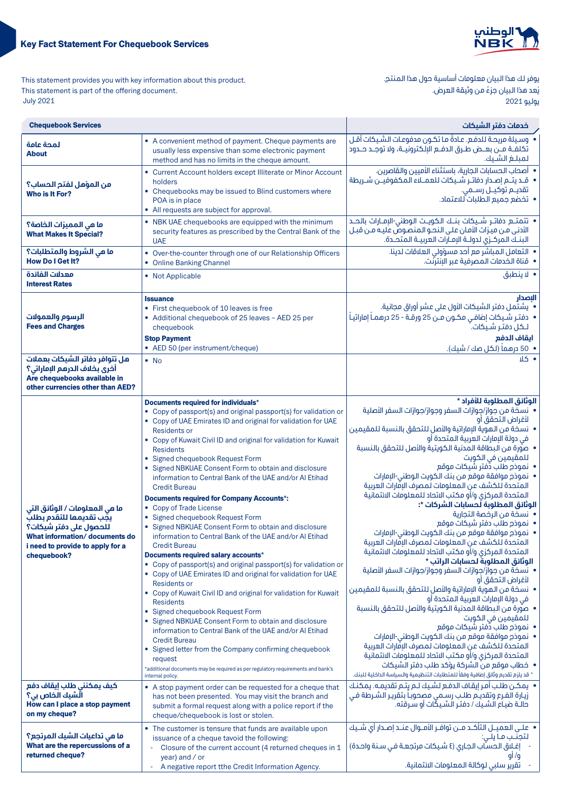

يوفر لك هذا البيان معلومات أساسية حول هذا المنتج. يُعد هذا البيان جزءً من وثيقة العرض.

يوليو 2021

This statement provides you with key information about this product. This statement is part of the offering document. 2021 July

| <b>Chequebook Services</b>                                                                                                                                                |                                                                                                                                                                                                                                                                                                                                                                                                                                                                                                                                                                                                                                                                                                                                                                                                                                                                                                                                                                                                                                                                                                                                                                                                                                                                                                                                                                                               | خدمات دفتر الشيكات                                                                                                                                                                                                                                                                                                                                                                                                                                                                                                                                                                                                                                                                                                                                                                                                                                                                                                                                                                                                                                                                                                                                                                                                                                                                                                                                                                                                                       |
|---------------------------------------------------------------------------------------------------------------------------------------------------------------------------|-----------------------------------------------------------------------------------------------------------------------------------------------------------------------------------------------------------------------------------------------------------------------------------------------------------------------------------------------------------------------------------------------------------------------------------------------------------------------------------------------------------------------------------------------------------------------------------------------------------------------------------------------------------------------------------------------------------------------------------------------------------------------------------------------------------------------------------------------------------------------------------------------------------------------------------------------------------------------------------------------------------------------------------------------------------------------------------------------------------------------------------------------------------------------------------------------------------------------------------------------------------------------------------------------------------------------------------------------------------------------------------------------|------------------------------------------------------------------------------------------------------------------------------------------------------------------------------------------------------------------------------------------------------------------------------------------------------------------------------------------------------------------------------------------------------------------------------------------------------------------------------------------------------------------------------------------------------------------------------------------------------------------------------------------------------------------------------------------------------------------------------------------------------------------------------------------------------------------------------------------------------------------------------------------------------------------------------------------------------------------------------------------------------------------------------------------------------------------------------------------------------------------------------------------------------------------------------------------------------------------------------------------------------------------------------------------------------------------------------------------------------------------------------------------------------------------------------------------|
| لمحة عامة<br><b>About</b>                                                                                                                                                 | • A convenient method of payment. Cheque payments are<br>usually less expensive than some electronic payment<br>method and has no limits in the cheque amount.                                                                                                                                                                                                                                                                                                                                                                                                                                                                                                                                                                                                                                                                                                                                                                                                                                                                                                                                                                                                                                                                                                                                                                                                                                | •   وسيلة مريحة للدفـع. عـادةَ مـا تكـون مدفوعـات الشـيكات أقـل<br>تكلفــة مــن بعــض طــرق الدفــع الإلكترونيــة، ولا توجــد حــدود<br>لمبلغ الشبك.                                                                                                                                                                                                                                                                                                                                                                                                                                                                                                                                                                                                                                                                                                                                                                                                                                                                                                                                                                                                                                                                                                                                                                                                                                                                                     |
| من المؤهل لفتم الحساب؟<br>Who is It For?                                                                                                                                  | • Current Account holders except Illiterate or Minor Account<br>holders<br>• Chequebooks may be issued to Blind customers where<br>POA is in place<br>• All requests are subject for approval.                                                                                                                                                                                                                                                                                                                                                                                                                                                                                                                                                                                                                                                                                                                                                                                                                                                                                                                                                                                                                                                                                                                                                                                                | • أصحاب الحسابات الجارية، باستثناء الأميين والقاصرين.<br>•   قـد يتــم إصـدار دفاتـر شــيكات للعمــلاء المكفوفيــن شــريطة<br>تقديـم توكيــل رســمى.<br>• تخضع جميع الطلبات ُللاعتماد.                                                                                                                                                                                                                                                                                                                                                                                                                                                                                                                                                                                                                                                                                                                                                                                                                                                                                                                                                                                                                                                                                                                                                                                                                                                   |
| ما هي المميزات الخاصة؟<br><b>What Makes It Special?</b>                                                                                                                   | • NBK UAE chequebooks are equipped with the minimum<br>security features as prescribed by the Central Bank of the<br><b>UAE</b>                                                                                                                                                                                                                                                                                                                                                                                                                                                                                                                                                                                                                                                                                                                                                                                                                                                                                                                                                                                                                                                                                                                                                                                                                                                               | • انتمتـــم دفاتــر شـــيـكات بنـــك الـكويــت الـوطني-الإمــارات بالـصــد<br>الأدنى من ميزات الأمان على النحو المنصوصٌ عليه من قبل<br>البنــك المركــزى لدولــة الإمــارات العربيــة المتحــدة.                                                                                                                                                                                                                                                                                                                                                                                                                                                                                                                                                                                                                                                                                                                                                                                                                                                                                                                                                                                                                                                                                                                                                                                                                                         |
| ما هي الشروط والمتطلبات؟<br><b>How Do I Get It?</b>                                                                                                                       | • Over-the-counter through one of our Relationship Officers<br>• Online Banking Channel                                                                                                                                                                                                                                                                                                                                                                                                                                                                                                                                                                                                                                                                                                                                                                                                                                                                                                                                                                                                                                                                                                                                                                                                                                                                                                       | •  التعامل المباشر مع أحد مسؤولي العلاقات لدينا.<br>•   قناة الخدمات المصرفية عبر الإنترنت.                                                                                                                                                                                                                                                                                                                                                                                                                                                                                                                                                                                                                                                                                                                                                                                                                                                                                                                                                                                                                                                                                                                                                                                                                                                                                                                                              |
| معدلات الفائدة<br><b>Interest Rates</b>                                                                                                                                   | • Not Applicable                                                                                                                                                                                                                                                                                                                                                                                                                                                                                                                                                                                                                                                                                                                                                                                                                                                                                                                                                                                                                                                                                                                                                                                                                                                                                                                                                                              | • لا ينطبق                                                                                                                                                                                                                                                                                                                                                                                                                                                                                                                                                                                                                                                                                                                                                                                                                                                                                                                                                                                                                                                                                                                                                                                                                                                                                                                                                                                                                               |
| الرسوم والعمولات<br><b>Fees and Charges</b>                                                                                                                               | <b>Issuance</b><br>• First chequebook of 10 leaves is free<br>• Additional chequebook of 25 leaves - AED 25 per<br>chequebook<br><b>Stop Payment</b><br>• AED 50 (per instrument/cheque)                                                                                                                                                                                                                                                                                                                                                                                                                                                                                                                                                                                                                                                                                                                                                                                                                                                                                                                                                                                                                                                                                                                                                                                                      | النصدار<br>• ۗ يشتمل دفتر الشيكات الأول على عشر أوراق مجانية.<br>•   دفتـر شـيكات إضافـي مكـون مـن 25 ورقـة - 25 درهمـاً إماراتيـاً<br>لـكل دفتـر شـيكات. ۖ<br>انقاف الدفع<br>•  50 درهماً (لكل صك / شيك).                                                                                                                                                                                                                                                                                                                                                                                                                                                                                                                                                                                                                                                                                                                                                                                                                                                                                                                                                                                                                                                                                                                                                                                                                               |
| هل تتوافر دفاتر الشيكات بعملات<br>أخرى بخلاف الدرهم الإماراتي؟<br>Are chequebooks available in<br>other currencies other than AED?                                        | $\bullet$ No                                                                                                                                                                                                                                                                                                                                                                                                                                                                                                                                                                                                                                                                                                                                                                                                                                                                                                                                                                                                                                                                                                                                                                                                                                                                                                                                                                                  | • کلا                                                                                                                                                                                                                                                                                                                                                                                                                                                                                                                                                                                                                                                                                                                                                                                                                                                                                                                                                                                                                                                                                                                                                                                                                                                                                                                                                                                                                                    |
| ما هي المعلومات / الوثائق التي<br>يجّب تقديمها للتقدم بطلبّ<br>للحصول على دفتر شيكات؟<br>What information/documents do<br>i need to provide to apply for a<br>chequebook? | Documents required for individuals*<br>• Copy of passport(s) and original passport(s) for validation or<br>• Copy of UAE Emirates ID and original for validation for UAE<br><b>Residents or</b><br>• Copy of Kuwait Civil ID and original for validation for Kuwait<br><b>Residents</b><br>• Signed chequebook Request Form<br>• Signed NBKUAE Consent Form to obtain and disclosure<br>information to Central Bank of the UAE and/or Al Etihad<br><b>Credit Bureau</b><br><b>Documents required for Company Accounts*:</b><br>• Copy of Trade License<br>· Signed chequebook Request Form<br>• Signed NBKUAE Consent Form to obtain and disclosure<br>information to Central Bank of the UAE and/or Al Etihad<br><b>Credit Bureau</b><br>Documents required salary accounts*<br>• Copy of passport(s) and original passport(s) for validation or<br>• Copy of UAE Emirates ID and original for validation for UAE<br><b>Residents or</b><br>• Copy of Kuwait Civil ID and original for validation for Kuwait<br><b>Residents</b><br>• Signed chequebook Request Form<br>• Signed NBKUAE Consent Form to obtain and disclosure<br>information to Central Bank of the UAE and/or Al Etihad<br><b>Credit Bureau</b><br>• Signed letter from the Company confirming chequebook<br>request<br>*additional documents may be required as per regulatory requirements and bank's<br>internal policy. | الوثائق المطلوبة للأفراد *<br>• نسخة من جواز/جوازات السفر وجواز/جوازات السفر الأصلية<br>لأغراض التحقق أو<br>•  نسخة من الـموية الإماراتية والأصل للتحقق بالنسبة للمقيمين<br>في دولة الإمارات العربية المتحدة أو<br>•   صورة من البطاقة المدنية الكويتية والأصل للتحقق بالنسبة<br>للمقيمين فى الكويت<br>•  نموذج طلب دُفتر شيكات موقع<br>• نموذج موافقة موقع من بنك الكويت الوطني-الإمارات<br>المتحدة للكشف عن المعلومات لمصرف الإقارات العربية<br>المتحدة المركزي و/أو مكتب الاتحاد للمعلومات الائتمانية<br>الوثائق المطلوبة لحسابات الشركات *:<br>• نسخة من الرخصة التجارية<br>•  نموذج طلب دفتر شيكات موقع<br>• نموذج موافقة موقع من بنك الكويت الوطني-الإمارات<br>المتحدة للكشف عن المعلومات لمصرف الإقارات العربية<br>المتحدة المركزى و/أو مكتب الاتحاد للمعلومات الائتمانية<br>الوثائق المطلوبة لحسابات الراتب *<br>• نسخة من جواز/جوازات السفر وجواز/جوازات السفر الأصلية<br>لأغراض التحقق أو<br>• نسخة من الـموية الإماراتية والأصل للتحقق بالنسبة للمقيمين<br>في دولة الإمارات العربية المتحدة أو<br>•   صوَّرة من البطاقة المدنية الكويتية والأصل للتحقق بالنسبة<br>للمقيمين فى الكويت<br>•  نموذج طلب دُفتر شيكات موقع<br>• نموذج موافقة موقع من بنك الكويت الوطني-الإمارات<br>المتحدة للكشف عن المعلومات لمصرف الإقارات العربية<br>المتحدة المركزي و/أو مكتب الاتحاد للمعلومات الائتمانية<br>•   خطاب موقع من الشركة يؤكد طلب دفتر الشيكات<br>* قد يلزم تقديم وثائق إضافية وفقاً للمتطلبات التنظيمية والسياسة الداخلية للبنك. |
| كيف يمكنني طلب إيقاف دفع<br>الشيك الخاص بي؟<br>How can I place a stop payment<br>on my cheque?                                                                            | • A stop payment order can be requested for a cheque that<br>has not been presented. You may visit the branch and<br>submit a formal request along with a police report if the<br>cheque/chequebook is lost or stolen.                                                                                                                                                                                                                                                                                                                                                                                                                                                                                                                                                                                                                                                                                                                                                                                                                                                                                                                                                                                                                                                                                                                                                                        | •   يمكن طلب أمر إيقاف الدفع لشيك لـم يتـم تقديمـه. يمكنـك<br>زيارة الفرع وتقديم طلب رسمي مصحوباً بتقرير الشـرطة في<br>حالـة ضيـاع الشـيك / دفتـر الشـيكات أو سـرقته.                                                                                                                                                                                                                                                                                                                                                                                                                                                                                                                                                                                                                                                                                                                                                                                                                                                                                                                                                                                                                                                                                                                                                                                                                                                                    |
| ما هي تداعيات الشيك المرتجع؟<br>What are the repercussions of a<br>returned cheque?                                                                                       | • The customer is tensure that funds are available upon<br>issuance of a cheque tavoid the following:<br>Closure of the current account (4 returned cheques in 1<br>$\sim$<br>year) and / or<br>A negative report tthe Credit Information Agency.<br>$\equiv$                                                                                                                                                                                                                                                                                                                                                                                                                                                                                                                                                                                                                                                                                                                                                                                                                                                                                                                                                                                                                                                                                                                                 | •   علـى العميــل التأكــد مــن توافــر الأمــوال عنــد إصـدار أي شــيك<br>لتجنب ما يلي:<br>إغـلاق الحسَّاب الجـارى (٤ شـيكات مرتجعـة فـي سـنة واحـدة)<br>q/q<br>تقرير سلبي لوكالة المعلومات الائتمانية.                                                                                                                                                                                                                                                                                                                                                                                                                                                                                                                                                                                                                                                                                                                                                                                                                                                                                                                                                                                                                                                                                                                                                                                                                                 |